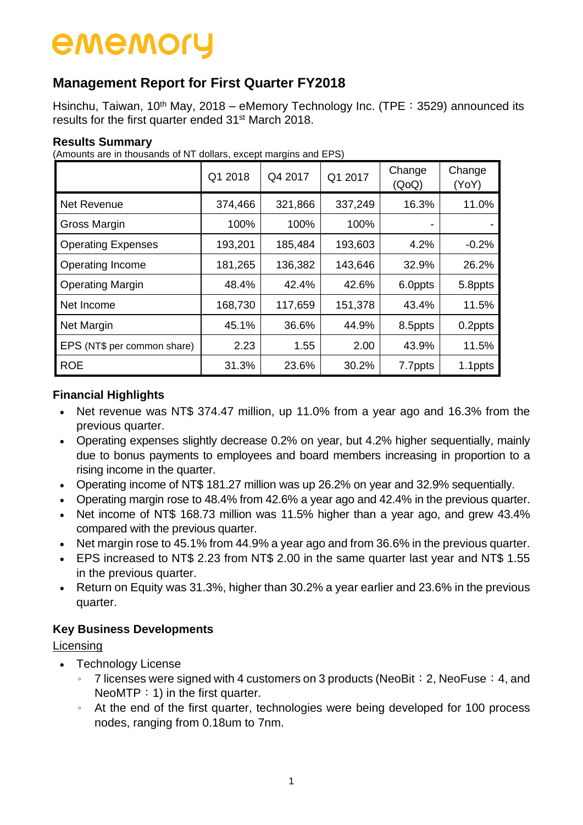### **Management Report for First Quarter FY2018**

Hsinchu, Taiwan, 10<sup>th</sup> May, 2018 – eMemory Technology Inc. (TPE: 3529) announced its results for the first quarter ended 31st March 2018.

#### **Results Summary**

(Amounts are in thousands of NT dollars, except margins and EPS)

|                             | Q1 2018 | Q4 2017 | Q1 2017 | Change<br>(QoQ) | Change<br>(YoY) |
|-----------------------------|---------|---------|---------|-----------------|-----------------|
| Net Revenue                 | 374,466 | 321,866 | 337,249 | 16.3%           | 11.0%           |
| Gross Margin                | 100%    | 100%    | 100%    |                 |                 |
| <b>Operating Expenses</b>   | 193,201 | 185,484 | 193,603 | 4.2%            | $-0.2%$         |
| Operating Income            | 181,265 | 136,382 | 143,646 | 32.9%           | 26.2%           |
| <b>Operating Margin</b>     | 48.4%   | 42.4%   | 42.6%   | 6.0ppts         | 5.8ppts         |
| Net Income                  | 168,730 | 117,659 | 151,378 | 43.4%           | 11.5%           |
| Net Margin                  | 45.1%   | 36.6%   | 44.9%   | 8.5ppts         | 0.2ppts         |
| EPS (NT\$ per common share) | 2.23    | 1.55    | 2.00    | 43.9%           | 11.5%           |
| <b>ROE</b>                  | 31.3%   | 23.6%   | 30.2%   | 7.7ppts         | 1.1ppts         |

#### **Financial Highlights**

- Net revenue was NT\$ 374.47 million, up 11.0% from a year ago and 16.3% from the previous quarter.
- Operating expenses slightly decrease 0.2% on year, but 4.2% higher sequentially, mainly due to bonus payments to employees and board members increasing in proportion to a rising income in the quarter.
- Operating income of NT\$ 181.27 million was up 26.2% on year and 32.9% sequentially.
- Operating margin rose to 48.4% from 42.6% a year ago and 42.4% in the previous quarter.
- Net income of NT\$ 168.73 million was 11.5% higher than a vear ago, and grew 43.4% compared with the previous quarter.
- Net margin rose to 45.1% from 44.9% a year ago and from 36.6% in the previous quarter.
- EPS increased to NT\$ 2.23 from NT\$ 2.00 in the same quarter last year and NT\$ 1.55 in the previous quarter.
- Return on Equity was 31.3%, higher than 30.2% a year earlier and 23.6% in the previous quarter.

#### **Key Business Developments**

#### Licensing

- Technology License
	- $\degree$  7 licenses were signed with 4 customers on 3 products (NeoBit: 2, NeoFuse: 4, and NeoMTP  $: 1$ ) in the first quarter.
	- 。 At the end of the first quarter, technologies were being developed for 100 process nodes, ranging from 0.18um to 7nm.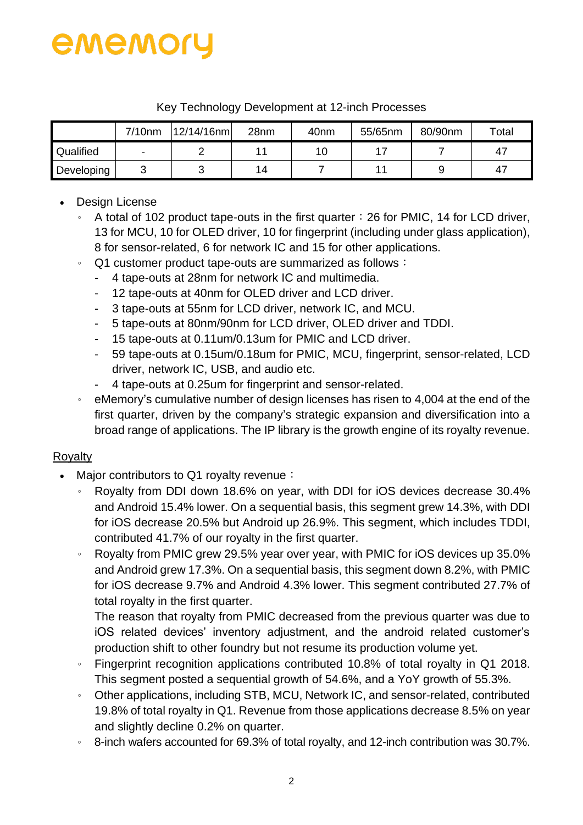

|            | $7/10$ nm | $12/14/16$ nm | 28nm | 40 <sub>nm</sub> | 55/65nm | 80/90nm | Total |
|------------|-----------|---------------|------|------------------|---------|---------|-------|
| Qualified  | -         |               | 11   | 10               |         |         | 47    |
| Developing | ັ         | ີ             | 14   |                  |         |         | 47    |

Key Technology Development at 12-inch Processes

- Design License
	- $\cdot$  A total of 102 product tape-outs in the first quarter: 26 for PMIC, 14 for LCD driver, 13 for MCU, 10 for OLED driver, 10 for fingerprint (including under glass application), 8 for sensor-related, 6 for network IC and 15 for other applications.
	- 。 Q1 customer product tape-outs are summarized as follows:
		- 4 tape-outs at 28nm for network IC and multimedia.
		- 12 tape-outs at 40nm for OLED driver and LCD driver.
		- 3 tape-outs at 55nm for LCD driver, network IC, and MCU.
		- 5 tape-outs at 80nm/90nm for LCD driver, OLED driver and TDDI.
		- 15 tape-outs at 0.11um/0.13um for PMIC and LCD driver.
		- 59 tape-outs at 0.15um/0.18um for PMIC, MCU, fingerprint, sensor-related, LCD driver, network IC, USB, and audio etc.
		- 4 tape-outs at 0.25um for fingerprint and sensor-related.
	- 。 eMemory's cumulative number of design licenses has risen to 4,004 at the end of the first quarter, driven by the company's strategic expansion and diversification into a broad range of applications. The IP library is the growth engine of its royalty revenue.

#### Royalty

- Major contributors to Q1 royalty revenue:
	- 。 Royalty from DDI down 18.6% on year, with DDI for iOS devices decrease 30.4% and Android 15.4% lower. On a sequential basis, this segment grew 14.3%, with DDI for iOS decrease 20.5% but Android up 26.9%. This segment, which includes TDDI, contributed 41.7% of our royalty in the first quarter.
	- 。 Royalty from PMIC grew 29.5% year over year, with PMIC for iOS devices up 35.0% and Android grew 17.3%. On a sequential basis, this segment down 8.2%, with PMIC for iOS decrease 9.7% and Android 4.3% lower. This segment contributed 27.7% of total royalty in the first quarter.

The reason that royalty from PMIC decreased from the previous quarter was due to iOS related devices' inventory adjustment, and the android related customer's production shift to other foundry but not resume its production volume yet.

- 。 Fingerprint recognition applications contributed 10.8% of total royalty in Q1 2018. This segment posted a sequential growth of 54.6%, and a YoY growth of 55.3%.
- 。 Other applications, including STB, MCU, Network IC, and sensor-related, contributed 19.8% of total royalty in Q1. Revenue from those applications decrease 8.5% on year and slightly decline 0.2% on quarter.
- 。 8-inch wafers accounted for 69.3% of total royalty, and 12-inch contribution was 30.7%.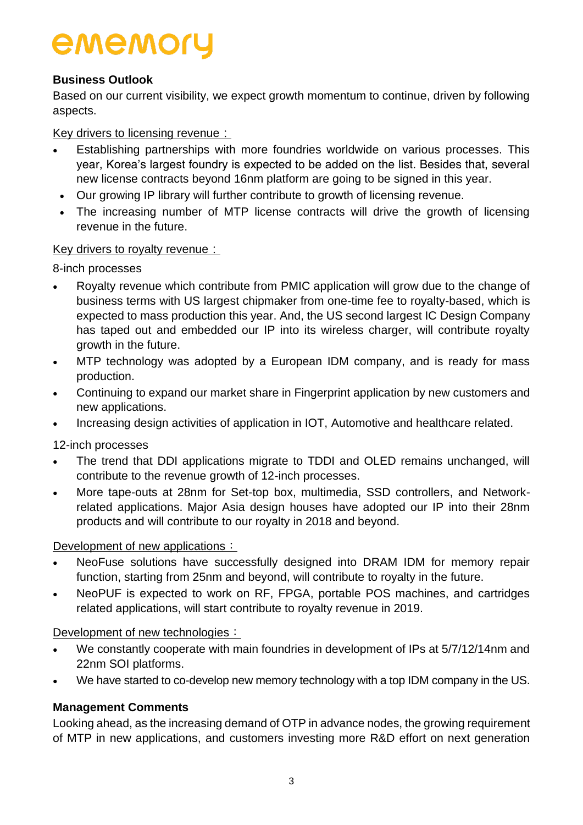#### **Business Outlook**

Based on our current visibility, we expect growth momentum to continue, driven by following aspects.

Key drivers to licensing revenue:

- Establishing partnerships with more foundries worldwide on various processes. This year, Korea's largest foundry is expected to be added on the list. Besides that, several new license contracts beyond 16nm platform are going to be signed in this year.
- Our growing IP library will further contribute to growth of licensing revenue.
- The increasing number of MTP license contracts will drive the growth of licensing revenue in the future.

#### Key drivers to royalty revenue:

8-inch processes

- Royalty revenue which contribute from PMIC application will grow due to the change of business terms with US largest chipmaker from one-time fee to royalty-based, which is expected to mass production this year. And, the US second largest IC Design Company has taped out and embedded our IP into its wireless charger, will contribute royalty growth in the future.
- MTP technology was adopted by a European IDM company, and is ready for mass production.
- Continuing to expand our market share in Fingerprint application by new customers and new applications.
- Increasing design activities of application in IOT, Automotive and healthcare related.

12-inch processes

- The trend that DDI applications migrate to TDDI and OLED remains unchanged, will contribute to the revenue growth of 12-inch processes.
- More tape-outs at 28nm for Set-top box, multimedia, SSD controllers, and Networkrelated applications. Major Asia design houses have adopted our IP into their 28nm products and will contribute to our royalty in 2018 and beyond.

Development of new applications:

- NeoFuse solutions have successfully designed into DRAM IDM for memory repair function, starting from 25nm and beyond, will contribute to royalty in the future.
- NeoPUF is expected to work on RF, FPGA, portable POS machines, and cartridges related applications, will start contribute to royalty revenue in 2019.

Development of new technologies:

- We constantly cooperate with main foundries in development of IPs at 5/7/12/14nm and 22nm SOI platforms.
- We have started to co-develop new memory technology with a top IDM company in the US.

#### **Management Comments**

Looking ahead, as the increasing demand of OTP in advance nodes, the growing requirement of MTP in new applications, and customers investing more R&D effort on next generation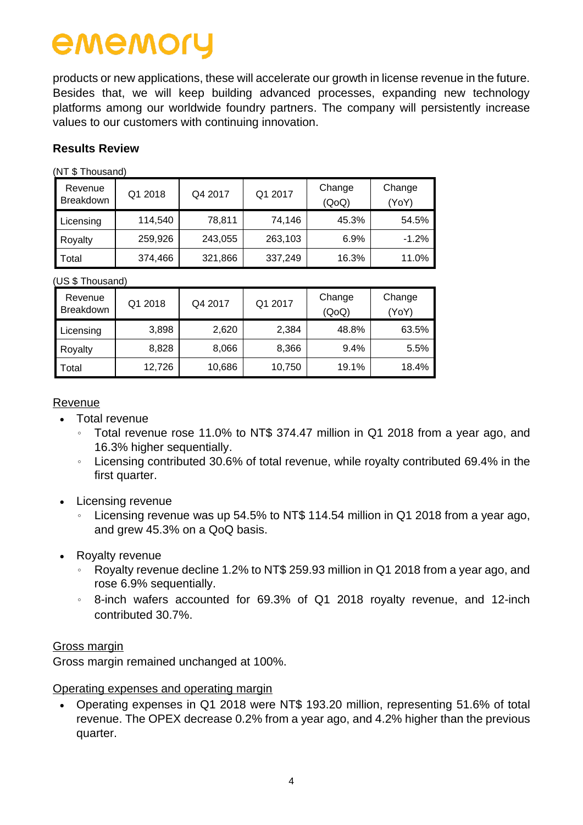products or new applications, these will accelerate our growth in license revenue in the future. Besides that, we will keep building advanced processes, expanding new technology platforms among our worldwide foundry partners. The company will persistently increase values to our customers with continuing innovation.

#### **Results Review**

(NT \$ Thousand)

| ו שוושטשטוויש ויינו  |         |         |         |                 |                 |
|----------------------|---------|---------|---------|-----------------|-----------------|
| Revenue<br>Breakdown | Q1 2018 | Q4 2017 | Q1 2017 | Change<br>(QoQ) | Change<br>(YoY) |
| Licensing            | 114,540 | 78,811  | 74,146  | 45.3%           | 54.5%           |
| Royalty              | 259,926 | 243,055 | 263,103 | 6.9%            | $-1.2%$         |
| Total                | 374,466 | 321,866 | 337,249 | 16.3%           | 11.0%           |

(US \$ Thousand)

| Revenue<br><b>Breakdown</b> | Q1 2018 | Q4 2017 | Q1 2017 | Change<br>(QoQ) | Change<br>YoY) |
|-----------------------------|---------|---------|---------|-----------------|----------------|
| Licensing                   | 3,898   | 2,620   | 2,384   | 48.8%           | 63.5%          |
| Royalty                     | 8,828   | 8,066   | 8,366   | 9.4%            | 5.5%           |
| Total                       | 12,726  | 10,686  | 10,750  | 19.1%           | 18.4%          |

Revenue

- Total revenue
	- 。 Total revenue rose 11.0% to NT\$ 374.47 million in Q1 2018 from a year ago, and 16.3% higher sequentially.
	- 。 Licensing contributed 30.6% of total revenue, while royalty contributed 69.4% in the first quarter.
- Licensing revenue
	- Licensing revenue was up 54.5% to NT\$ 114.54 million in Q1 2018 from a year ago, and grew 45.3% on a QoQ basis.
- Royalty revenue
	- Royalty revenue decline 1.2% to NT\$ 259.93 million in Q1 2018 from a year ago, and rose 6.9% sequentially.
	- 。 8-inch wafers accounted for 69.3% of Q1 2018 royalty revenue, and 12-inch contributed 30.7%.

#### Gross margin

Gross margin remained unchanged at 100%.

#### Operating expenses and operating margin

 Operating expenses in Q1 2018 were NT\$ 193.20 million, representing 51.6% of total revenue. The OPEX decrease 0.2% from a year ago, and 4.2% higher than the previous quarter.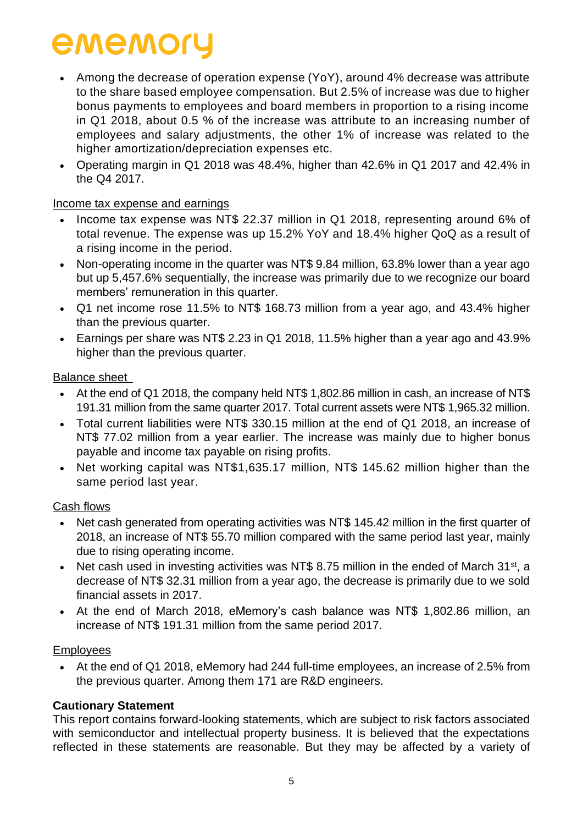- Among the decrease of operation expense (YoY), around 4% decrease was attribute to the share based employee compensation. But 2.5% of increase was due to higher bonus payments to employees and board members in proportion to a rising income in Q1 2018, about 0.5 % of the increase was attribute to an increasing number of employees and salary adjustments, the other 1% of increase was related to the higher amortization/depreciation expenses etc.
- Operating margin in Q1 2018 was 48.4%, higher than 42.6% in Q1 2017 and 42.4% in the Q4 2017.

#### Income tax expense and earnings

- Income tax expense was NT\$ 22.37 million in Q1 2018, representing around 6% of total revenue. The expense was up 15.2% YoY and 18.4% higher QoQ as a result of a rising income in the period.
- Non-operating income in the quarter was NT\$ 9.84 million, 63.8% lower than a year ago but up 5,457.6% sequentially, the increase was primarily due to we recognize our board members' remuneration in this quarter.
- Q1 net income rose 11.5% to NT\$ 168.73 million from a year ago, and 43.4% higher than the previous quarter.
- Earnings per share was NT\$ 2.23 in Q1 2018, 11.5% higher than a year ago and 43.9% higher than the previous quarter.

#### Balance sheet

- At the end of Q1 2018, the company held NT\$ 1,802.86 million in cash, an increase of NT\$ 191.31 million from the same quarter 2017. Total current assets were NT\$ 1,965.32 million.
- Total current liabilities were NT\$ 330.15 million at the end of Q1 2018, an increase of NT\$ 77.02 million from a year earlier. The increase was mainly due to higher bonus payable and income tax payable on rising profits.
- Net working capital was NT\$1,635.17 million, NT\$ 145.62 million higher than the same period last year.

#### Cash flows

- Net cash generated from operating activities was NT\$ 145.42 million in the first quarter of 2018, an increase of NT\$ 55.70 million compared with the same period last year, mainly due to rising operating income.
- Net cash used in investing activities was NT\$ 8.75 million in the ended of March 31<sup>st</sup>, a decrease of NT\$ 32.31 million from a year ago, the decrease is primarily due to we sold financial assets in 2017.
- At the end of March 2018, eMemory's cash balance was NT\$ 1,802.86 million, an increase of NT\$ 191.31 million from the same period 2017.

#### Employees

 At the end of Q1 2018, eMemory had 244 full-time employees, an increase of 2.5% from the previous quarter. Among them 171 are R&D engineers.

#### **Cautionary Statement**

This report contains forward-looking statements, which are subject to risk factors associated with semiconductor and intellectual property business. It is believed that the expectations reflected in these statements are reasonable. But they may be affected by a variety of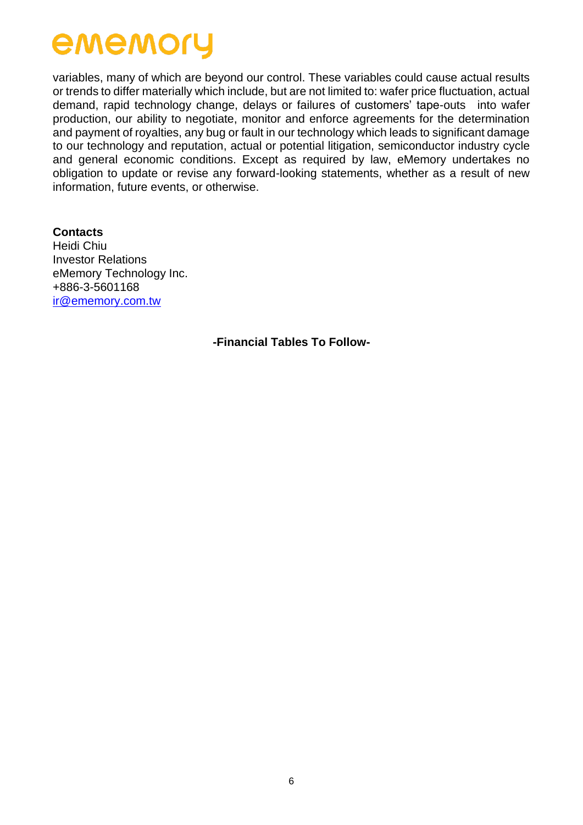variables, many of which are beyond our control. These variables could cause actual results or trends to differ materially which include, but are not limited to: wafer price fluctuation, actual demand, rapid technology change, delays or failures of customers' tape-outs into wafer production, our ability to negotiate, monitor and enforce agreements for the determination and payment of royalties, any bug or fault in our technology which leads to significant damage to our technology and reputation, actual or potential litigation, semiconductor industry cycle and general economic conditions. Except as required by law, eMemory undertakes no obligation to update or revise any forward-looking statements, whether as a result of new information, future events, or otherwise.

**Contacts** Heidi Chiu Investor Relations eMemory Technology Inc. +886-3-5601168 [ir@ememory.com.tw](mailto:ir@ememory.com.tw)

**-Financial Tables To Follow-**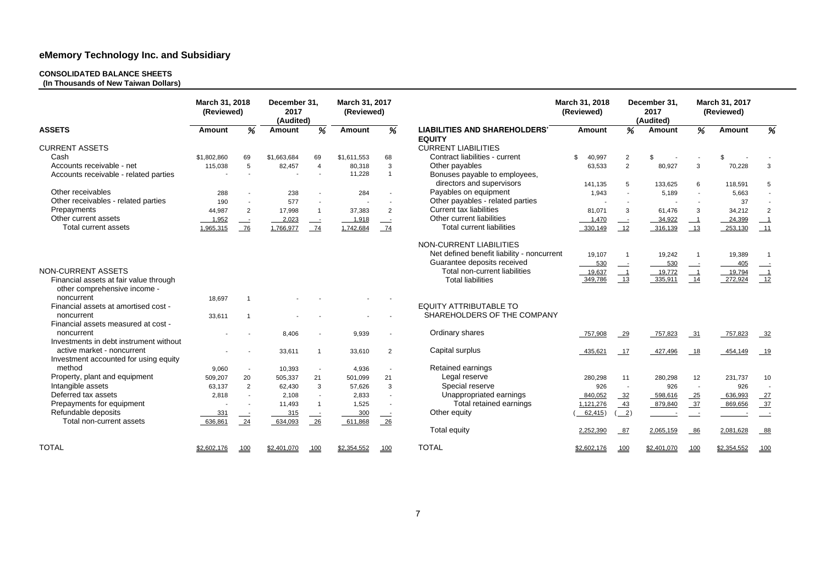#### **CONSOLIDATED BALANCE SHEETS**

**(In Thousands of New Taiwan Dollars)** 

|                                        | March 31, 2018<br>(Reviewed) |                | December 31,<br>2017<br>(Audited) |                          | March 31, 2017<br>(Reviewed) |                          |                                                                    | March 31, 2018<br>(Reviewed) |                            | December 31,<br>2017<br>(Audited) |                          | March 31, 2017<br>(Reviewed) |                          |
|----------------------------------------|------------------------------|----------------|-----------------------------------|--------------------------|------------------------------|--------------------------|--------------------------------------------------------------------|------------------------------|----------------------------|-----------------------------------|--------------------------|------------------------------|--------------------------|
| <b>ASSETS</b>                          | Amount                       | %              | <b>Amount</b>                     | %                        | <b>Amount</b>                | $\overline{\%}$          | <b>LIABILITIES AND SHAREHOLDERS'</b><br><b>EQUITY</b>              | <b>Amount</b>                | %                          | Amount                            | %                        | <b>Amount</b>                | %                        |
| <b>CURRENT ASSETS</b>                  |                              |                |                                   |                          |                              |                          | <b>CURRENT LIABILITIES</b>                                         |                              |                            |                                   |                          |                              |                          |
| Cash                                   | \$1,802,860                  | 69             | \$1,663,684                       | 69                       | \$1,611,553                  | 68                       | Contract liabilities - current                                     | \$<br>40,997                 | $\overline{2}$             | \$                                |                          | \$                           |                          |
| Accounts receivable - net              | 115,038                      | $\overline{5}$ | 82,457                            | $\overline{4}$           | 80,318                       | $\mathbf{3}$             | Other payables                                                     | 63,533                       | $\overline{2}$             | 80,927                            | 3                        | 70,228                       | 3                        |
| Accounts receivable - related parties  |                              |                |                                   | $\overline{\phantom{a}}$ | 11,228                       | $\overline{1}$           | Bonuses payable to employees,<br>directors and supervisors         |                              |                            |                                   |                          |                              |                          |
| Other receivables                      |                              |                |                                   |                          |                              |                          | Payables on equipment                                              | 141,135                      | 5                          | 133,625                           | 6                        | 118,591                      | 5                        |
|                                        | 288                          | $\sim$         | 238                               |                          | 284                          |                          |                                                                    | 1,943                        |                            | 5,189                             |                          | 5,663                        |                          |
| Other receivables - related parties    | 190                          |                | 577                               |                          |                              |                          | Other payables - related parties<br><b>Current tax liabilities</b> |                              |                            |                                   |                          | 37                           |                          |
| Prepayments                            | 44,987                       | $\overline{2}$ | 17,998                            | $\overline{1}$           | 37,383                       | $\overline{2}$           |                                                                    | 81,071                       | 3                          | 61,476                            | 3                        | 34,212                       | $\overline{2}$           |
| Other current assets                   | 1,952                        |                | 2,023                             | $\equiv$                 | 1,918                        | $\overline{\phantom{a}}$ | Other current liabilities                                          | 1,470                        |                            | 34,922                            | $\overline{\phantom{0}}$ | 24,399                       | $\overline{\phantom{0}}$ |
| Total current assets                   | 1,965,315                    | 76             | 1,766,977                         | 74                       | 1,742,684                    | 74                       | <b>Total current liabilities</b>                                   | 330,149                      | 12                         | 316,139                           | 13                       | 253,130                      |                          |
|                                        |                              |                |                                   |                          |                              |                          | NON-CURRENT LIABILITIES                                            |                              |                            |                                   |                          |                              |                          |
|                                        |                              |                |                                   |                          |                              |                          | Net defined benefit liability - noncurrent                         | 19,107                       | $\overline{1}$             | 19,242                            | -1                       | 19,389                       | $\overline{1}$           |
|                                        |                              |                |                                   |                          |                              |                          | Guarantee deposits received                                        | 530                          | $\overline{\phantom{a}}$   | 530                               |                          | 405                          |                          |
| <b>NON-CURRENT ASSETS</b>              |                              |                |                                   |                          |                              |                          | Total non-current liabilities                                      | 19,637                       | $-1$                       | 19,772                            | $\overline{\phantom{0}}$ | 19,794                       |                          |
| Financial assets at fair value through |                              |                |                                   |                          |                              |                          | <b>Total liabilities</b>                                           | 349,786                      | $\overline{\phantom{0}13}$ | 335,911                           | $\overline{14}$          | 272,924                      | $\frac{1}{12}$           |
| other comprehensive income -           |                              |                |                                   |                          |                              |                          |                                                                    |                              |                            |                                   |                          |                              |                          |
| noncurrent                             | 18,697                       | $\overline{1}$ |                                   |                          |                              |                          |                                                                    |                              |                            |                                   |                          |                              |                          |
| Financial assets at amortised cost -   |                              |                |                                   |                          |                              |                          | <b>EQUITY ATTRIBUTABLE TO</b>                                      |                              |                            |                                   |                          |                              |                          |
| noncurrent                             | 33,611                       | -1             |                                   |                          |                              |                          | SHAREHOLDERS OF THE COMPANY                                        |                              |                            |                                   |                          |                              |                          |
| Financial assets measured at cost -    |                              |                |                                   |                          |                              |                          |                                                                    |                              |                            |                                   |                          |                              |                          |
| noncurrent                             |                              |                | 8.406                             |                          | 9,939                        |                          | Ordinary shares                                                    | 757,908                      | $-29$                      | 757,823                           | $\frac{31}{2}$           | 757.823                      | $-32$                    |
| Investments in debt instrument without |                              |                |                                   |                          |                              |                          |                                                                    |                              |                            |                                   |                          |                              |                          |
| active market - noncurrent             |                              |                | 33,611                            | $\overline{1}$           | 33,610                       | $\overline{2}$           | Capital surplus                                                    | 435,621                      | $-17$                      | 427,496                           | 18                       | 454,149                      | 19                       |
| Investment accounted for using equity  |                              |                |                                   |                          |                              |                          |                                                                    |                              |                            |                                   |                          |                              |                          |
| method                                 | 9,060                        | $\sim$         | 10,393                            | $\sim$                   | 4,936                        |                          | Retained earnings                                                  |                              |                            |                                   |                          |                              |                          |
| Property, plant and equipment          | 509,207                      | 20             | 505,337                           | 21                       | 501,099                      | 21                       | Legal reserve                                                      | 280,298                      | 11                         | 280,298                           | 12                       | 231,737                      | 10                       |
| Intangible assets                      | 63,137                       | $\overline{2}$ | 62,430                            | 3                        | 57,626                       | $\mathbf{3}$             | Special reserve                                                    | 926                          | $\sim$                     | 926                               | $\sim$                   | 926                          |                          |
| Deferred tax assets                    | 2,818                        | $\sim$         | 2,108                             | $\sim$                   | 2,833                        |                          | Unappropriated earnings                                            | 840,052                      | $-32$                      | 598,616                           | $-25$                    | 636,993                      | 27                       |
| Prepayments for equipment              |                              |                | 11,493                            | $\overline{1}$           | 1,525                        | $\sim$                   | Total retained earnings                                            | 1,121,276                    | 43                         | 879,840                           | $-37$                    | 869,656                      | $\frac{37}{2}$           |
| Refundable deposits                    | 331                          |                | 315                               | $\equiv$                 | 300                          | $\equiv$                 | Other equity                                                       | 62,415)                      | $\frac{2}{2}$              |                                   | $\sim$                   |                              | $\sim$ $-$               |
| Total non-current assets               | 636,861                      | $\frac{24}{1}$ | 634,093                           | $\frac{26}{ }$           | 611,868                      | $-26$                    |                                                                    |                              |                            |                                   |                          |                              |                          |
|                                        |                              |                |                                   |                          |                              |                          | <b>Total equity</b>                                                | 2,252,390                    | 87                         | 2,065,159                         | 86                       | 2,081,628                    | $-88$                    |
| <b>TOTAL</b>                           | \$2,602,176                  | 100            | \$2,401,070                       | <u>100</u>               | \$2,354,552                  | 100                      | <b>TOTAL</b>                                                       | \$2,602,176                  | 100                        | \$2,401,070                       | 100                      | \$2,354,552                  | 100                      |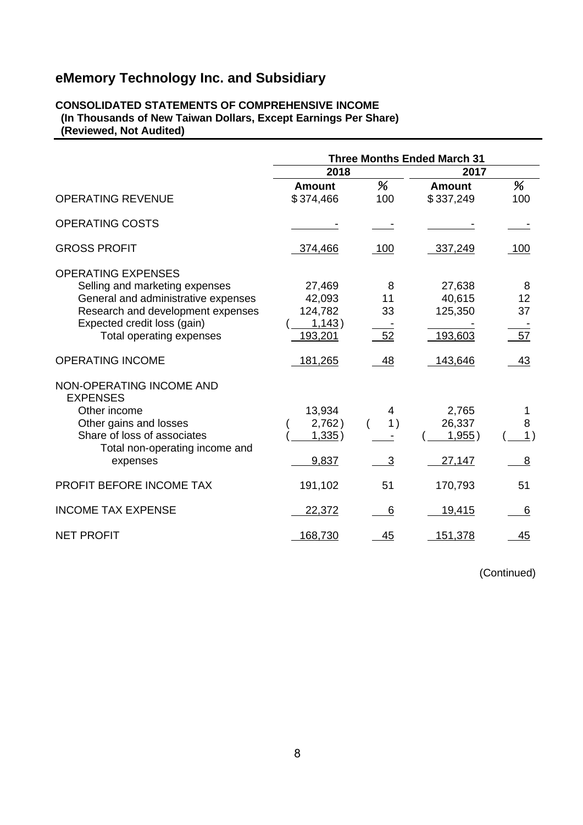#### **CONSOLIDATED STATEMENTS OF COMPREHENSIVE INCOME (In Thousands of New Taiwan Dollars, Except Earnings Per Share) (Reviewed, Not Audited)**

|                                                                                                                                                                                                    |                                                  |                     | <b>Three Months Ended March 31</b>     |                     |  |
|----------------------------------------------------------------------------------------------------------------------------------------------------------------------------------------------------|--------------------------------------------------|---------------------|----------------------------------------|---------------------|--|
|                                                                                                                                                                                                    | 2018                                             |                     | 2017                                   |                     |  |
| <b>OPERATING REVENUE</b>                                                                                                                                                                           | <b>Amount</b><br>\$374,466                       | %<br>100            | <b>Amount</b><br>\$337,249             | %<br>100            |  |
| <b>OPERATING COSTS</b>                                                                                                                                                                             |                                                  |                     |                                        |                     |  |
| <b>GROSS PROFIT</b>                                                                                                                                                                                | 374,466                                          | 100                 | 337,249                                | 100                 |  |
| <b>OPERATING EXPENSES</b><br>Selling and marketing expenses<br>General and administrative expenses<br>Research and development expenses<br>Expected credit loss (gain)<br>Total operating expenses | 27,469<br>42,093<br>124,782<br>1,143)<br>193,201 | 8<br>11<br>33<br>52 | 27,638<br>40,615<br>125,350<br>193,603 | 8<br>12<br>37<br>57 |  |
| <b>OPERATING INCOME</b>                                                                                                                                                                            | 181,265                                          | 48                  | 143,646                                | 43                  |  |
| NON-OPERATING INCOME AND<br><b>EXPENSES</b><br>Other income<br>Other gains and losses<br>Share of loss of associates<br>Total non-operating income and<br>expenses                                 | 13,934<br>2,762)<br>1,335)<br>9,837              | 4<br>1)<br>3        | 2,765<br>26,337<br>1,955)<br>27,147    | 1<br>8<br>1)<br>8   |  |
| PROFIT BEFORE INCOME TAX                                                                                                                                                                           | 191,102                                          | 51                  | 170,793                                | 51                  |  |
| <b>INCOME TAX EXPENSE</b>                                                                                                                                                                          | 22,372                                           | 6                   | 19,415                                 | 6                   |  |
| <b>NET PROFIT</b>                                                                                                                                                                                  | 168,730                                          | 45                  | 151,378                                | 45                  |  |

(Continued)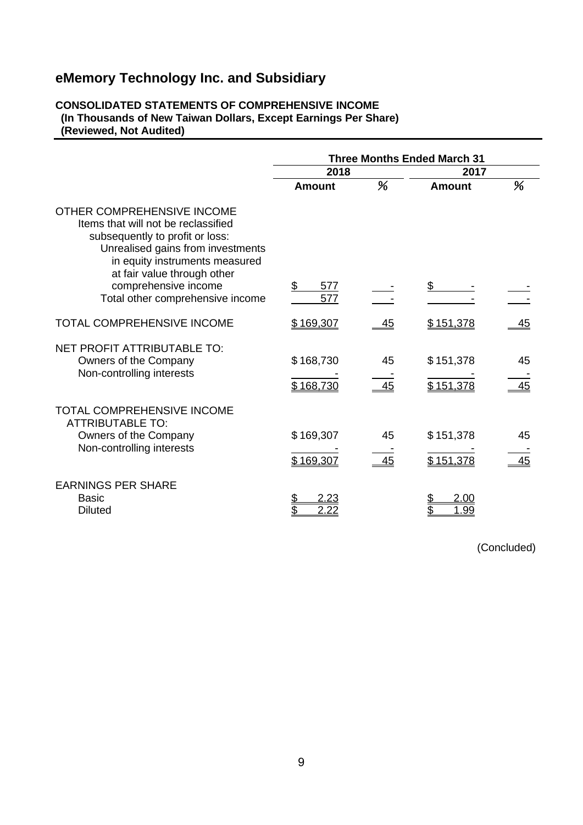#### **CONSOLIDATED STATEMENTS OF COMPREHENSIVE INCOME (In Thousands of New Taiwan Dollars, Except Earnings Per Share) (Reviewed, Not Audited)**

|                                                                                                                                                                                                            | <b>Three Months Ended March 31</b> |           |                        |           |  |
|------------------------------------------------------------------------------------------------------------------------------------------------------------------------------------------------------------|------------------------------------|-----------|------------------------|-----------|--|
|                                                                                                                                                                                                            | 2018                               |           | 2017                   |           |  |
|                                                                                                                                                                                                            | Amount                             | %         | <b>Amount</b>          | %         |  |
| OTHER COMPREHENSIVE INCOME<br>Items that will not be reclassified<br>subsequently to profit or loss:<br>Unrealised gains from investments<br>in equity instruments measured<br>at fair value through other |                                    |           |                        |           |  |
| comprehensive income<br>Total other comprehensive income                                                                                                                                                   | \$<br>577<br>577                   |           | \$                     |           |  |
| <b>TOTAL COMPREHENSIVE INCOME</b>                                                                                                                                                                          | \$169,307                          | <u>45</u> | \$151,378              | <u>45</u> |  |
| <b>NET PROFIT ATTRIBUTABLE TO:</b><br>Owners of the Company<br>Non-controlling interests                                                                                                                   | \$168,730<br>\$168,730             | 45<br>45  | \$151,378<br>\$151,378 | 45<br>45  |  |
| <b>TOTAL COMPREHENSIVE INCOME</b><br><b>ATTRIBUTABLE TO:</b><br>Owners of the Company<br>Non-controlling interests                                                                                         | \$169,307<br>\$169,307             | 45<br>45  | \$151,378<br>\$151,378 | 45<br>45  |  |
| <b>EARNINGS PER SHARE</b><br><b>Basic</b><br><b>Diluted</b>                                                                                                                                                | 2.23<br>\$<br>2.22                 |           | 2.00<br>\$<br>1.99     |           |  |

(Concluded)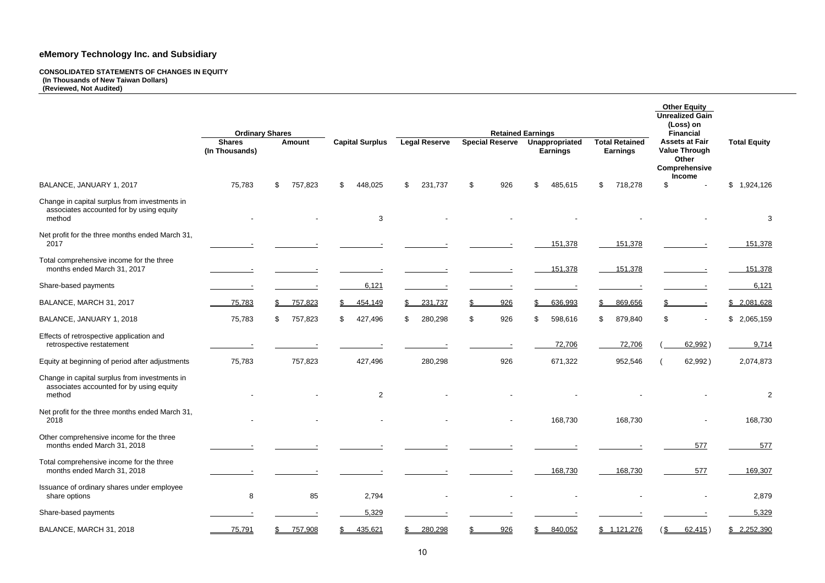**CONSOLIDATED STATEMENTS OF CHANGES IN EQUITY (In Thousands of New Taiwan Dollars) (Reviewed, Not Audited)** 

|                                                                                                     |                                                           |                |                        |                      |                        |                                                               |                                          | <b>Other Equity</b><br><b>Unrealized Gain</b><br>(Loss) on                                                   |                             |
|-----------------------------------------------------------------------------------------------------|-----------------------------------------------------------|----------------|------------------------|----------------------|------------------------|---------------------------------------------------------------|------------------------------------------|--------------------------------------------------------------------------------------------------------------|-----------------------------|
|                                                                                                     | <b>Ordinary Shares</b><br><b>Shares</b><br>(In Thousands) | <b>Amount</b>  | <b>Capital Surplus</b> | <b>Legal Reserve</b> | <b>Special Reserve</b> | <b>Retained Earnings</b><br>Unappropriated<br><b>Earnings</b> | <b>Total Retained</b><br><b>Earnings</b> | <b>Financial</b><br><b>Assets at Fair</b><br><b>Value Through</b><br>Other<br>Comprehensive<br><b>Income</b> | <b>Total Equity</b>         |
| BALANCE, JANUARY 1, 2017                                                                            | 75,783                                                    | \$<br>757,823  | 448,025<br>\$.         | \$.<br>231,737       | 926<br>\$              | \$<br>485,615                                                 | \$<br>718,278                            | $\mathfrak{S}$                                                                                               | $\mathfrak{S}$<br>1,924,126 |
| Change in capital surplus from investments in<br>associates accounted for by using equity<br>method |                                                           |                | $\mathbf{3}$           |                      |                        |                                                               |                                          |                                                                                                              | 3                           |
| Net profit for the three months ended March 31,<br>2017                                             |                                                           |                |                        |                      |                        | 151,378                                                       | 151,378                                  |                                                                                                              | 151,378                     |
| Total comprehensive income for the three<br>months ended March 31, 2017                             |                                                           |                |                        |                      |                        | 151,378                                                       | 151,378                                  |                                                                                                              | 151,378                     |
| Share-based payments                                                                                |                                                           |                | 6,121                  |                      |                        |                                                               |                                          |                                                                                                              | 6,121                       |
| BALANCE, MARCH 31, 2017                                                                             | 75,783                                                    | 757,823<br>\$. | 454,149<br>S.          | 231,737<br>S.        | 926                    | \$<br>636,993                                                 | 869,656<br>$\mathbb{S}$                  |                                                                                                              | \$2,081,628                 |
| BALANCE, JANUARY 1, 2018                                                                            | 75,783                                                    | 757,823<br>\$  | 427,496<br>\$.         | 280,298<br>\$        | 926<br>\$              | 598,616<br>\$                                                 | 879,840<br>\$.                           | $\mathfrak{S}$                                                                                               | \$2,065,159                 |
| Effects of retrospective application and<br>retrospective restatement                               |                                                           |                |                        |                      |                        | 72,706                                                        | 72,706                                   | 62,992)                                                                                                      | 9,714                       |
| Equity at beginning of period after adjustments                                                     | 75,783                                                    | 757,823        | 427,496                | 280,298              | 926                    | 671,322                                                       | 952,546                                  | 62,992)                                                                                                      | 2,074,873                   |
| Change in capital surplus from investments in<br>associates accounted for by using equity<br>method |                                                           |                | $\overline{2}$         |                      |                        |                                                               |                                          |                                                                                                              | 2                           |
| Net profit for the three months ended March 31,<br>2018                                             | $\overline{\phantom{a}}$                                  |                |                        |                      |                        | 168,730                                                       | 168,730                                  |                                                                                                              | 168,730                     |
| Other comprehensive income for the three<br>months ended March 31, 2018                             |                                                           |                |                        |                      |                        |                                                               |                                          | 577                                                                                                          | 577                         |
| Total comprehensive income for the three<br>months ended March 31, 2018                             |                                                           |                |                        |                      |                        | 168,730                                                       | 168,730                                  | 577                                                                                                          | 169,307                     |
| Issuance of ordinary shares under employee<br>share options                                         | 8                                                         | 85             | 2,794                  |                      |                        |                                                               |                                          |                                                                                                              | 2,879                       |
| Share-based payments                                                                                |                                                           |                | 5,329                  |                      |                        |                                                               |                                          |                                                                                                              | 5,329                       |
| BALANCE, MARCH 31, 2018                                                                             | 75,791                                                    | 757,908        | 435,621                | 280,298              | 926                    | 840,052                                                       | \$1,121,276                              | 62,415)<br>85                                                                                                | \$2,252,390                 |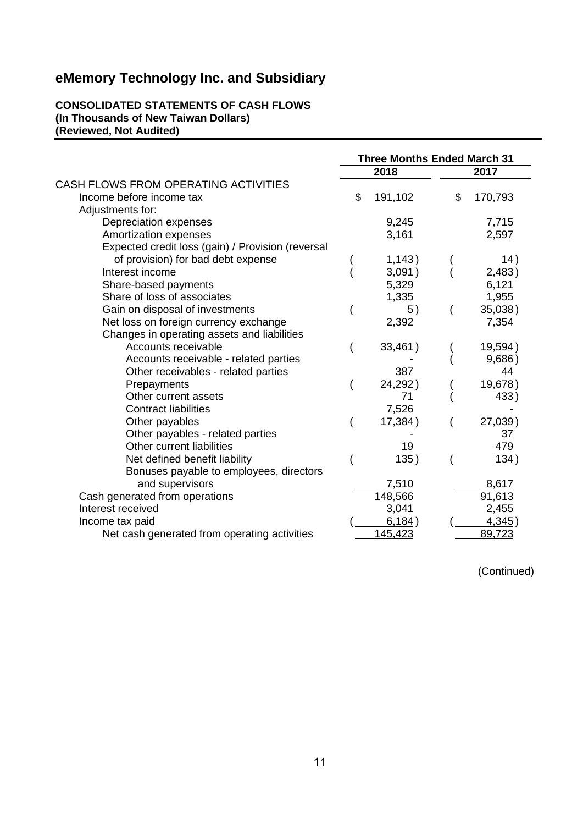#### **CONSOLIDATED STATEMENTS OF CASH FLOWS (In Thousands of New Taiwan Dollars) (Reviewed, Not Audited)**

|                                                   | <b>Three Months Ended March 31</b> |         |    |         |  |  |
|---------------------------------------------------|------------------------------------|---------|----|---------|--|--|
|                                                   |                                    | 2018    |    | 2017    |  |  |
| CASH FLOWS FROM OPERATING ACTIVITIES              |                                    |         |    |         |  |  |
| Income before income tax                          | \$                                 | 191,102 | \$ | 170,793 |  |  |
| Adjustments for:                                  |                                    |         |    |         |  |  |
| Depreciation expenses                             |                                    | 9,245   |    | 7,715   |  |  |
| Amortization expenses                             |                                    | 3,161   |    | 2,597   |  |  |
| Expected credit loss (gain) / Provision (reversal |                                    |         |    |         |  |  |
| of provision) for bad debt expense                |                                    | 1,143)  |    | 14)     |  |  |
| Interest income                                   |                                    | 3,091)  |    | 2,483)  |  |  |
| Share-based payments                              |                                    | 5,329   |    | 6,121   |  |  |
| Share of loss of associates                       |                                    | 1,335   |    | 1,955   |  |  |
| Gain on disposal of investments                   |                                    | 5)      |    | 35,038) |  |  |
| Net loss on foreign currency exchange             |                                    | 2,392   |    | 7,354   |  |  |
| Changes in operating assets and liabilities       |                                    |         |    |         |  |  |
| Accounts receivable                               |                                    | 33,461) |    | 19,594) |  |  |
| Accounts receivable - related parties             |                                    |         |    | 9,686)  |  |  |
| Other receivables - related parties               |                                    | 387     |    | 44      |  |  |
| Prepayments                                       |                                    | 24,292) |    | 19,678) |  |  |
| Other current assets                              |                                    | 71      |    | 433)    |  |  |
| <b>Contract liabilities</b>                       |                                    | 7,526   |    |         |  |  |
| Other payables                                    |                                    | 17,384) |    | 27,039) |  |  |
| Other payables - related parties                  |                                    |         |    | 37      |  |  |
| Other current liabilities                         |                                    | 19      |    | 479     |  |  |
| Net defined benefit liability                     |                                    | 135)    |    | 134)    |  |  |
| Bonuses payable to employees, directors           |                                    |         |    |         |  |  |
| and supervisors                                   |                                    | 7,510   |    | 8,617   |  |  |
| Cash generated from operations                    |                                    | 148,566 |    | 91,613  |  |  |
| Interest received                                 |                                    | 3,041   |    | 2,455   |  |  |
| Income tax paid                                   |                                    | 6,184)  |    | 4,345)  |  |  |
| Net cash generated from operating activities      |                                    | 145,423 |    | 89,723  |  |  |

(Continued)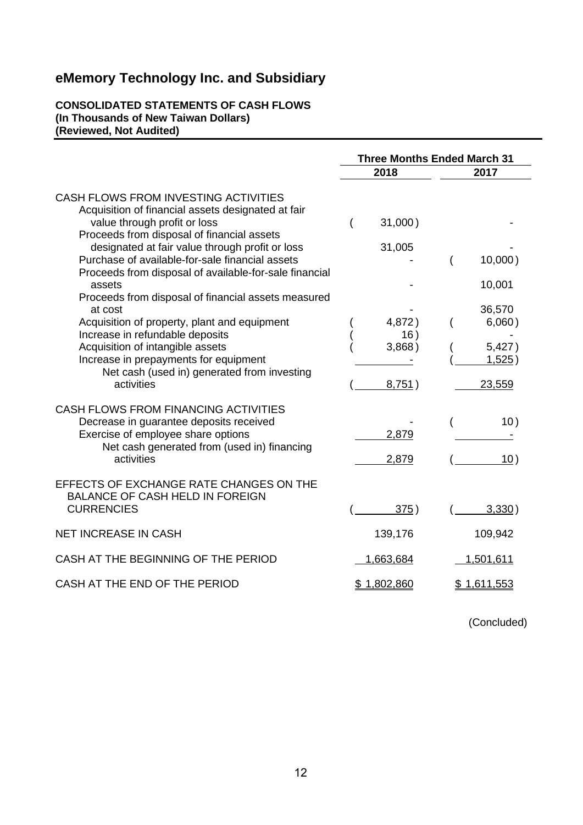#### **CONSOLIDATED STATEMENTS OF CASH FLOWS (In Thousands of New Taiwan Dollars) (Reviewed, Not Audited)**

|                                                                                                                                                                                                                             | <b>Three Months Ended March 31</b> |                                              |  |
|-----------------------------------------------------------------------------------------------------------------------------------------------------------------------------------------------------------------------------|------------------------------------|----------------------------------------------|--|
|                                                                                                                                                                                                                             | 2018                               | 2017                                         |  |
| CASH FLOWS FROM INVESTING ACTIVITIES<br>Acquisition of financial assets designated at fair<br>value through profit or loss<br>Proceeds from disposal of financial assets<br>designated at fair value through profit or loss | 31,000)<br>31,005                  |                                              |  |
| Purchase of available-for-sale financial assets<br>Proceeds from disposal of available-for-sale financial<br>assets<br>Proceeds from disposal of financial assets measured                                                  |                                    | 10,000)<br>10,001                            |  |
| at cost<br>Acquisition of property, plant and equipment<br>Increase in refundable deposits<br>Acquisition of intangible assets<br>Increase in prepayments for equipment                                                     | 4,872)<br>16)<br>3,868)            | 36,570<br>6,060)<br>5,427)<br><u>1,525</u> ) |  |
| Net cash (used in) generated from investing<br>activities                                                                                                                                                                   | 8,751)                             | 23,559                                       |  |
| CASH FLOWS FROM FINANCING ACTIVITIES<br>Decrease in guarantee deposits received<br>Exercise of employee share options<br>Net cash generated from (used in) financing<br>activities                                          | 2,879<br>2,879                     | 10)<br>10)                                   |  |
| EFFECTS OF EXCHANGE RATE CHANGES ON THE<br><b>BALANCE OF CASH HELD IN FOREIGN</b><br><b>CURRENCIES</b>                                                                                                                      | 375)                               | 3,330)                                       |  |
| <b>NET INCREASE IN CASH</b>                                                                                                                                                                                                 | 139,176                            | 109,942                                      |  |
| CASH AT THE BEGINNING OF THE PERIOD                                                                                                                                                                                         | 1,663,684                          | 1,501,611                                    |  |
| CASH AT THE END OF THE PERIOD                                                                                                                                                                                               | \$1,802,860                        | \$1,611,553                                  |  |

(Concluded)